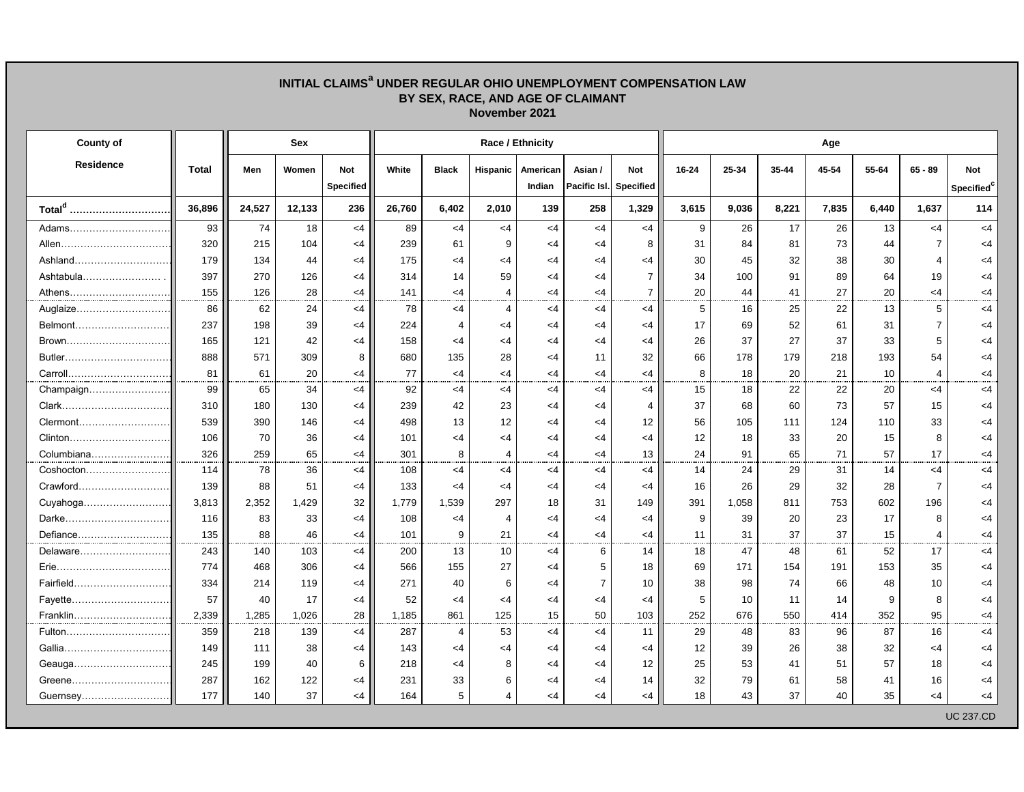## **INITIAL CLAIMS<sup>a</sup> UNDER REGULAR OHIO UNEMPLOYMENT COMPENSATION LAW BY SEX, RACE, AND AGE OF CLAIMANT November 2021**

| <b>County of</b>   |              |        | Sex    |                                | Race / Ethnicity |                       |                 |                    |                         |                                |           | Age       |       |       |       |                |                                      |  |  |  |
|--------------------|--------------|--------|--------|--------------------------------|------------------|-----------------------|-----------------|--------------------|-------------------------|--------------------------------|-----------|-----------|-------|-------|-------|----------------|--------------------------------------|--|--|--|
| <b>Residence</b>   | <b>Total</b> | Men    | Women  | <b>Not</b><br><b>Specified</b> | White            | <b>Black</b>          | <b>Hispanic</b> | American<br>Indian | Asian /<br>Pacific Isl. | <b>Not</b><br><b>Specified</b> | $16 - 24$ | $25 - 34$ | 35-44 | 45-54 | 55-64 | $65 - 89$      | <b>Not</b><br>Specified <sup>c</sup> |  |  |  |
| Total <sup>d</sup> | 36,896       | 24,527 | 12,133 | 236                            | 26,760           | 6,402                 | 2,010           | 139                | 258                     | 1,329                          | 3,615     | 9,036     | 8,221 | 7,835 | 6,440 | 1,637          | 114                                  |  |  |  |
| Adams              | 93           | 74     | 18     | $<$ 4                          | 89               | $<$ 4                 | $<$ 4           | $<$ 4              | $<$ 4                   | $<$ 4                          | 9         | 26        | 17    | 26    | 13    | $<$ 4          | $<$ 4                                |  |  |  |
| Allen              | 320          | 215    | 104    | $<$ 4                          | 239              | 61                    | 9               | <4                 | $<$ 4                   | 8                              | 31        | 84        | 81    | 73    | 44    | $\overline{7}$ | $<$ 4                                |  |  |  |
| Ashland            | 179          | 134    | 44     | $<$ 4                          | 175              | <4                    | $<$ 4           | $<$ 4              | $<$ 4                   | $<$ 4                          | 30        | 45        | 32    | 38    | 30    | 4              | $<$ 4                                |  |  |  |
| Ashtabula          | 397          | 270    | 126    | $<$ 4                          | 314              | 14                    | 59              | $<$ 4              | $<$ 4                   | $\overline{7}$                 | 34        | 100       | 91    | 89    | 64    | 19             | <4                                   |  |  |  |
| Athens             | 155          | 126    | 28     | $<$ 4                          | 141              | <4                    | $\overline{4}$  | <4                 | $<$ 4                   | $\overline{7}$                 | 20        | 44        | 41    | 27    | 20    | $<$ 4          | <4                                   |  |  |  |
| Auglaize           | 86           | 62     | 24     | $<$ 4                          | 78               | <4                    | 4               | $<$ 4              | $<$ 4                   | $<$ 4                          | 5         | 16        | 25    | 22    | 13    | 5              | <4                                   |  |  |  |
| Belmont            | 237          | 198    | 39     | $<$ 4                          | 224              | $\boldsymbol{\Delta}$ | $<$ 4           | $<$ 4              | $<$ 4                   | $<$ 4                          | 17        | 69        | 52    | 61    | 31    | $\overline{7}$ | <4                                   |  |  |  |
| Brown              | 165          | 121    | 42     | <4                             | 158              | $\lt$ 4               | $<$ 4           | $<$ 4              | $<$ 4                   | $<$ 4                          | 26        | 37        | 27    | 37    | 33    | 5              | <4                                   |  |  |  |
| Butler             | 888          | 571    | 309    | 8                              | 680              | 135                   | 28              | $<$ 4              | 11                      | 32                             | 66        | 178       | 179   | 218   | 193   | 54             | <4                                   |  |  |  |
| Carroll            | 81           | 61     | 20     | $<$ 4                          | 77               | $<$ 4                 | $<$ 4           | $<$ 4              | $<$ 4                   | $<$ 4                          | 8         | 18        | 20    | 21    | 10    | 4              | <4                                   |  |  |  |
| Champaign          | 99           | 65     | 34     | $<$ 4                          | 92               | $<$ 4                 | $<$ 4           | $<$ 4              | $<$ 4                   | $<$ 4                          | 15        | 18        | 22    | 22    | 20    | $<$ 4          | <4                                   |  |  |  |
| Clark              | 310          | 180    | 130    | $\leq$ 4                       | 239              | 42                    | 23              | $<$ 4              | $<$ 4                   | 4                              | 37        | 68        | 60    | 73    | 57    | 15             | <4                                   |  |  |  |
| Clermont           | 539          | 390    | 146    | $<$ 4                          | 498              | 13                    | 12              | $<$ 4              | $<$ 4                   | 12                             | 56        | 105       | 111   | 124   | 110   | 33             | <4                                   |  |  |  |
| Clinton            | 106          | 70     | 36     | $<$ 4                          | 101              | $\leq 4$              | $<$ 4           | $<$ 4              | $<$ 4                   | $<$ 4                          | 12        | 18        | 33    | 20    | 15    | 8              | <4                                   |  |  |  |
| Columbiana         | 326          | 259    | 65     | $<$ 4                          | 301              | 8                     | 4               | $<$ 4              | $<$ 4                   | 13                             | 24        | 91        | 65    | 71    | 57    | 17             | <4                                   |  |  |  |
| Coshocton          | 114          | 78     | 36     | $<$ 4                          | 108              | <4                    | $<$ 4           | $<$ 4              | $<$ 4                   | <4                             | 14        | 24        | 29    | 31    | 14    | $<$ 4          | <4                                   |  |  |  |
| Crawford           | 139          | 88     | 51     | $<$ 4                          | 133              | $\leq 4$              | $<$ 4           | $<$ 4              | $<$ 4                   | $\leq$ 4                       | 16        | 26        | 29    | 32    | 28    | $\overline{7}$ | $<$ 4                                |  |  |  |
| Cuyahoga           | 3,813        | 2,352  | 1,429  | 32                             | 1,779            | 1,539                 | 297             | 18                 | 31                      | 149                            | 391       | 1,058     | 811   | 753   | 602   | 196            | $<$ 4                                |  |  |  |
| Darke              | 116          | 83     | 33     | $<$ 4                          | 108              | $\leq 4$              | 4               | $<$ 4              | $<$ 4                   | <4                             | 9         | 39        | 20    | 23    | 17    | 8              | <4                                   |  |  |  |
| Defiance           | 135          | 88     | 46     | $<$ 4                          | 101              | 9                     | 21              | $<$ 4              | $<$ 4                   | <4                             | 11        | 31        | 37    | 37    | 15    | $\overline{4}$ | <4                                   |  |  |  |
| Delaware           | 243          | 140    | 103    | $<$ 4                          | 200              | 13                    | 10              | $<$ 4              | 6                       | 14                             | 18        | 47        | 48    | 61    | 52    | 17             | $<$ 4                                |  |  |  |
| Erie               | 774          | 468    | 306    | <4                             | 566              | 155                   | 27              | $<$ 4              | 5                       | 18                             | 69        | 171       | 154   | 191   | 153   | 35             | <4                                   |  |  |  |
| Fairfield          | 334          | 214    | 119    | $<$ 4                          | 271              | 40                    | 6               | $<$ 4              | $\overline{7}$          | 10                             | 38        | 98        | 74    | 66    | 48    | 10             | <4                                   |  |  |  |
| Fayette            | 57           | 40     | 17     | $<$ 4                          | 52               | <4                    | <4              | $<$ 4              | $<$ 4                   | $<$ 4                          | 5         | 10        | 11    | 14    | 9     | 8              | <4                                   |  |  |  |
| Franklin           | 2,339        | 1,285  | 1,026  | 28                             | 1,185            | 861                   | 125             | 15                 | 50                      | 103                            | 252       | 676       | 550   | 414   | 352   | 95             | <4                                   |  |  |  |
| Fulton             | 359          | 218    | 139    | $<$ 4                          | 287              | $\overline{4}$        | 53              | <4                 | $<$ 4                   | 11                             | 29        | 48        | 83    | 96    | 87    | 16             | <4                                   |  |  |  |
|                    | 149          | 111    | 38     | $<$ 4                          | 143              | <4                    | $<$ 4           | $<$ 4              | $<$ 4                   | <4                             | 12        | 39        | 26    | 38    | 32    | $<$ 4          | <4                                   |  |  |  |
|                    | 245          | 199    | 40     | 6                              | 218              | $<$ 4                 | 8               | $<$ 4              | $<$ 4                   | 12                             | 25        | 53        | 41    | 51    | 57    | 18             | $<$ 4                                |  |  |  |
| Greene             | 287          | 162    | 122    | $<$ 4                          | 231              | 33                    | 6               | <4                 | $<$ 4                   | 14                             | 32        | 79        | 61    | 58    | 41    | 16             | <4                                   |  |  |  |
| Guernsey           | 177          | 140    | 37     | $<$ 4                          | 164              | 5                     | $\overline{4}$  | $<$ 4              | <4                      | $<$ 4                          | 18        | 43        | 37    | 40    | 35    | <4             | <4                                   |  |  |  |
|                    |              |        |        |                                |                  |                       |                 |                    |                         |                                |           |           |       |       |       |                | <b>UC 237.CD</b>                     |  |  |  |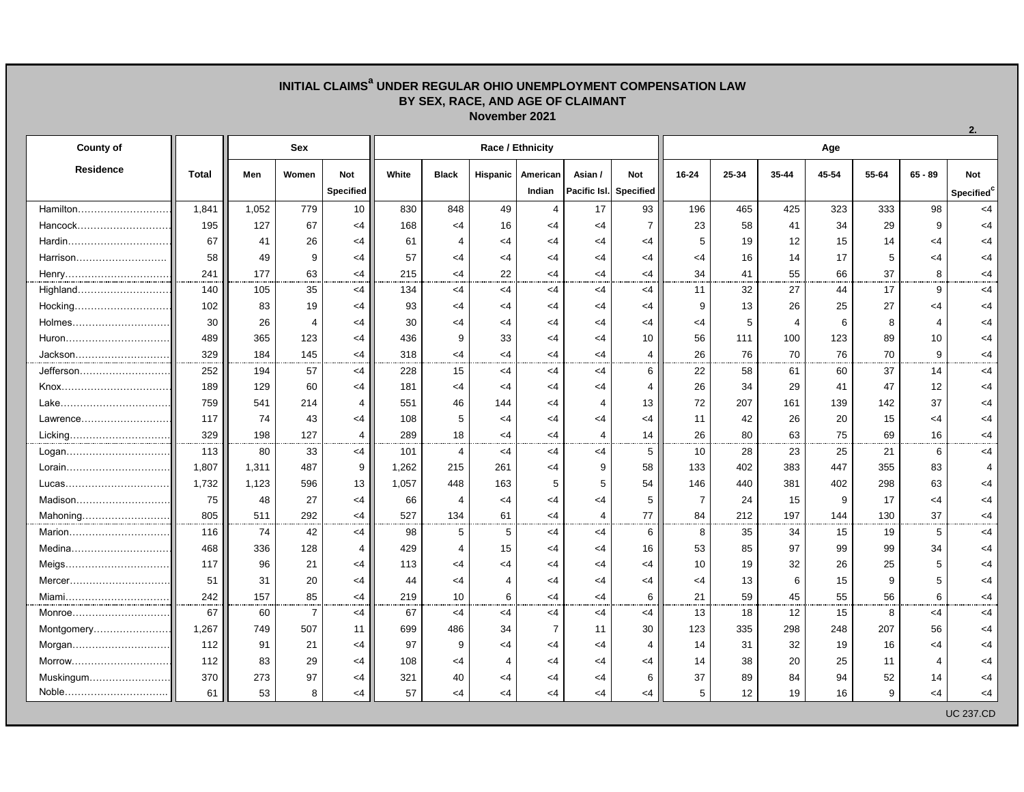## **INITIAL CLAIMS<sup>a</sup> UNDER REGULAR OHIO UNEMPLOYMENT COMPENSATION LAW BY SEX, RACE, AND AGE OF CLAIMANT November 2021**

| <b>County of</b> |              | Sex   |                |                  | Race / Ethnicity |                       |                |                |                        |                |                | Age       |           |       |       |                |                        |  |  |  |
|------------------|--------------|-------|----------------|------------------|------------------|-----------------------|----------------|----------------|------------------------|----------------|----------------|-----------|-----------|-------|-------|----------------|------------------------|--|--|--|
| <b>Residence</b> | <b>Total</b> | Men   | Women          | <b>Not</b>       | White            | <b>Black</b>          | Hispanic       | American       | Asian /                | <b>Not</b>     | $16 - 24$      | $25 - 34$ | $35 - 44$ | 45-54 | 55-64 | $65 - 89$      | <b>Not</b>             |  |  |  |
|                  |              |       |                | <b>Specified</b> |                  |                       |                | Indian         | Pacific Isl. Specified |                |                |           |           |       |       |                | Specified <sup>c</sup> |  |  |  |
| Hamilton         | 1.841        | 1,052 | 779            | 10               | 830              | 848                   | 49             | $\overline{4}$ | 17                     | 93             | 196            | 465       | 425       | 323   | 333   | 98             | <4                     |  |  |  |
| Hancock          | 195          | 127   | 67             | $<$ 4            | 168              | $<$ 4                 | 16             | $\leq 4$       | $<$ 4                  | $\overline{7}$ | 23             | 58        | 41        | 34    | 29    | 9              | <4                     |  |  |  |
| Hardin           | 67           | 41    | 26             | $<$ 4            | 61               | $\overline{4}$        | $<$ 4          | $<$ 4          | $<$ 4                  | <4             | 5              | 19        | 12        | 15    | 14    | $<$ 4          | <4                     |  |  |  |
| Harrison         | 58           | 49    | 9              | $<$ 4            | 57               | <4                    | $<$ 4          | $\leq 4$       | <4                     | $<$ 4          | $<$ 4          | 16        | 14        | 17    | 5     | $<$ 4          | <4                     |  |  |  |
| Henry            | 241          | 177   | 63             | $<$ 4            | 215              | <4                    | 22             | $<$ 4          | <4                     | $<$ 4          | 34             | 41        | 55        | 66    | 37    | 8              | <4                     |  |  |  |
| Highland         | 140          | 105   | 35             | $<$ 4            | 134              | <4                    | $<$ 4          | $<$ 4          | $<$ 4                  | $<$ 4          | 11             | 32        | 27        | 44    | 17    | 9              | $<$ 4                  |  |  |  |
| Hocking          | 102          | 83    | 19             | $<$ 4            | 93               | $<$ 4                 | $<$ 4          | $<$ 4          | $<$ 4                  | $<$ 4          | 9              | 13        | 26        | 25    | 27    | $<$ 4          | <4                     |  |  |  |
| Holmes           | 30           | 26    | $\overline{4}$ | $<$ 4            | 30               | $<$ 4                 | $<$ 4          | $<$ 4          | $<$ 4                  | $<$ 4          | $<$ 4          | 5         | 4         | 6     | 8     | $\overline{4}$ | <4                     |  |  |  |
| Huron            | 489          | 365   | 123            | $<$ 4            | 436              | 9                     | 33             | $<$ 4          | $<$ 4                  | 10             | 56             | 111       | 100       | 123   | 89    | 10             | <4                     |  |  |  |
| Jackson          | 329          | 184   | 145            | $<$ 4            | 318              | $<$ 4                 | $<$ 4          | $<$ 4          | $<$ 4                  | 4              | 26             | 76        | 70        | 76    | 70    | 9              | <4                     |  |  |  |
| Jefferson        | 252          | 194   | 57             | $<$ 4            | 228              | 15                    | $<$ 4          | $<$ 4          | $<$ 4                  | 6              | 22             | 58        | 61        | 60    | 37    | 14             | $<$ 4                  |  |  |  |
|                  | 189          | 129   | 60             | $<$ 4            | 181              | $<$ 4                 | $<$ 4          | $<$ 4          | $<$ 4                  | 4              | 26             | 34        | 29        | 41    | 47    | 12             | <4                     |  |  |  |
|                  | 759          | 541   | 214            | $\overline{4}$   | 551              | 46                    | 144            | <4             | $\overline{4}$         | 13             | 72             | 207       | 161       | 139   | 142   | 37             | $<$ 4                  |  |  |  |
| Lawrence         | 117          | 74    | 43             | $<$ 4            | 108              | 5                     | $<$ 4          | $<$ 4          | $<$ 4                  | $<$ 4          | 11             | 42        | 26        | 20    | 15    | $<$ 4          | <4                     |  |  |  |
| Licking          | 329          | 198   | 127            | 4                | 289              | 18                    | $<$ 4          | $<$ 4          | $\overline{4}$         | 14             | 26             | 80        | 63        | 75    | 69    | 16             | <4                     |  |  |  |
| Logan            | 113          | 80    | 33             | $<$ 4            | 101              | $\overline{4}$        | $<$ 4          | $<$ 4          | <4                     | 5              | 10             | 28        | 23        | 25    | 21    | 6              | $<$ 4                  |  |  |  |
|                  | 1,807        | 1,311 | 487            | 9                | 1,262            | 215                   | 261            | $<$ 4          | 9                      | 58             | 133            | 402       | 383       | 447   | 355   | 83             | 4                      |  |  |  |
|                  | 1,732        | 1,123 | 596            | 13               | 1,057            | 448                   | 163            | 5              | 5                      | 54             | 146            | 440       | 381       | 402   | 298   | 63             | <4                     |  |  |  |
|                  | 75           | 48    | 27             | $<$ 4            | 66               | $\overline{4}$        | $<$ 4          | $<$ 4          | $<$ 4                  | 5              | $\overline{7}$ | 24        | 15        | 9     | 17    | $<$ 4          | <4                     |  |  |  |
| Mahoning         | 805          | 511   | 292            | $<$ 4            | 527              | 134                   | 61             | $<$ 4          | $\overline{4}$         | 77             | 84             | 212       | 197       | 144   | 130   | 37             | <4                     |  |  |  |
| Marion           | 116          | 74    | 42             | $<$ 4            | 98               | 5                     | 5              | $<$ 4          | $<$ 4                  | 6              | 8              | 35        | 34        | 15    | 19    | 5              | <4                     |  |  |  |
| Medina           | 468          | 336   | 128            | 4                | 429              | $\boldsymbol{\Delta}$ | 15             | $\leq$ 4       | <4                     | 16             | 53             | 85        | 97        | 99    | 99    | 34             | <4                     |  |  |  |
| Meigs            | 117          | 96    | 21             | $<$ 4            | 113              | $\leq 4$              | <4             | $<$ 4          | $<$ 4                  | $<$ 4          | 10             | 19        | 32        | 26    | 25    | 5              | <4                     |  |  |  |
| Mercer           | 51           | 31    | 20             | $<$ 4            | 44               | $<$ 4                 | $\overline{4}$ | $<$ 4          | $<$ 4                  | $<$ 4          | $<$ 4          | 13        | 6         | 15    | 9     | 5              | <4                     |  |  |  |
| Miami            | 242          | 157   | 85             | $<$ 4            | 219              | 10                    | 6              | $<$ 4          | $<$ 4                  | 6              | 21             | 59        | 45        | 55    | 56    | 6              | <4                     |  |  |  |
| Monroe           | 67           | 60    | $\overline{7}$ | <4               | 67               | $<$ 4                 | $<$ 4          | $<$ 4          | <4                     | $<$ 4          | 13             | 18        | 12        | 15    | 8     | $<$ 4          | $<$ 4                  |  |  |  |
| Montgomery       | 1,267        | 749   | 507            | 11               | 699              | 486                   | 34             | $\overline{7}$ | 11                     | 30             | 123            | 335       | 298       | 248   | 207   | 56             | <4                     |  |  |  |
| Morgan           | 112          | 91    | 21             | $<$ 4            | 97               | 9                     | $<$ 4          | $<$ 4          | $<$ 4                  | 4              | 14             | 31        | 32        | 19    | 16    | $<$ 4          | <4                     |  |  |  |
| Morrow           | 112          | 83    | 29             | $<$ 4            | 108              | <4                    | 4              | $<$ 4          | $<$ 4                  | $<$ 4          | 14             | 38        | 20        | 25    | 11    | 4              | <4                     |  |  |  |
| Muskingum        | 370          | 273   | 97             | $<$ 4            | 321              | 40                    | $\leq$ 4       | $<$ 4          | <4                     | 6              | 37             | 89        | 84        | 94    | 52    | 14             | <4                     |  |  |  |
| Noble            | 61           | 53    | 8              | $<$ 4            | 57               | $<$ 4                 | <4             | $<$ 4          | <4                     | <4             | 5              | 12        | 19        | 16    | 9     | $\leq 4$       | <4                     |  |  |  |
|                  |              |       |                |                  |                  |                       |                |                |                        |                |                |           |           |       |       |                | <b>UC 237.CD</b>       |  |  |  |

**2.**